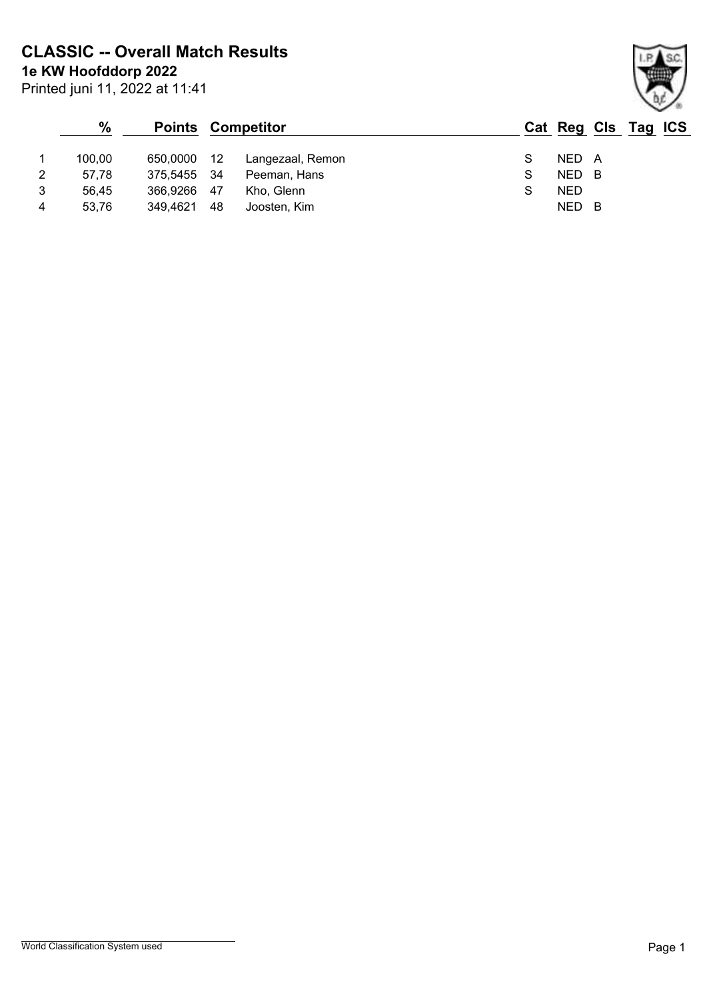**1e KW Hoofddorp 2022 CLASSIC -- Overall Match Results**

| Printed juni 11, 2022 at 11:41 |  |  |  |
|--------------------------------|--|--|--|

|   | $\%$   | <b>Points Competitor</b> |    |                  | Cat Reg Cls Tag ICS |            |     |  |  |
|---|--------|--------------------------|----|------------------|---------------------|------------|-----|--|--|
|   | 100.00 | 650,0000 12              |    | Langezaal, Remon |                     | NED A      |     |  |  |
| 2 | 57.78  | 375,5455 34              |    | Peeman, Hans     |                     | NED        | - B |  |  |
| 3 | 56.45  | 366,9266 47              |    | Kho, Glenn       |                     | <b>NED</b> |     |  |  |
| 4 | 53.76  | 349,4621                 | 48 | Joosten, Kim     |                     | NED        | - B |  |  |

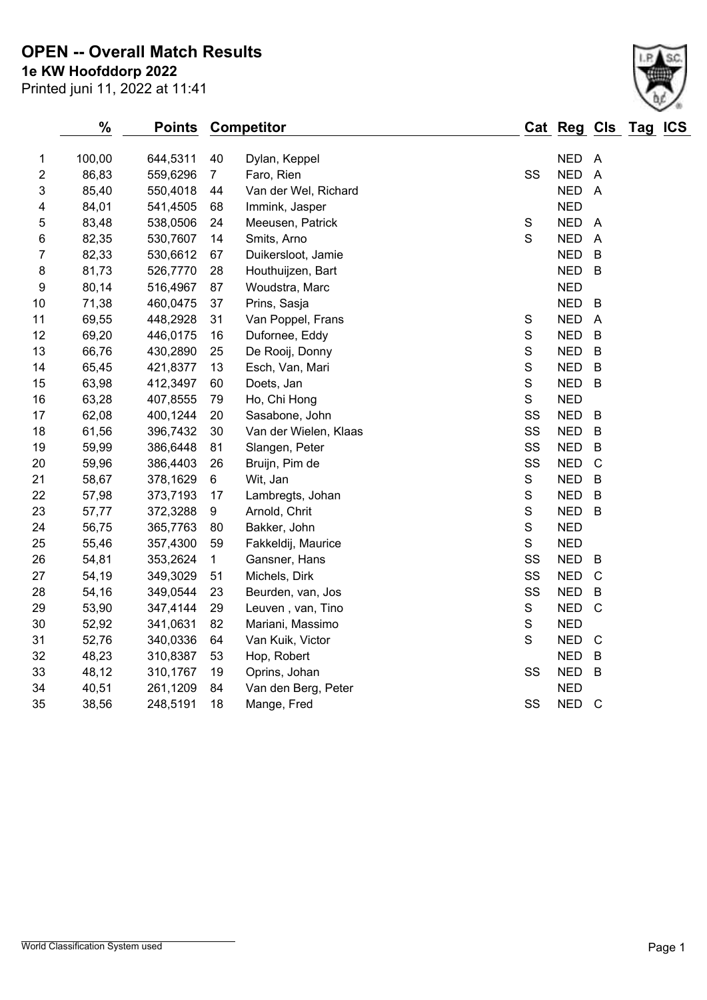## **1e KW Hoofddorp 2022 OPEN -- Overall Match Results**

|                | $\%$   | <b>Points</b> |                 | <b>Competitor</b>     |               | Cat Reg Cls Tag ICS |                |  |
|----------------|--------|---------------|-----------------|-----------------------|---------------|---------------------|----------------|--|
| 1              | 100,00 | 644,5311      | 40              | Dylan, Keppel         |               | NED A               |                |  |
| 2              | 86,83  | 559,6296      | $7\overline{ }$ | Faro, Rien            | SS            | NED A               |                |  |
| 3              | 85,40  | 550,4018      | 44              | Van der Wel, Richard  |               | NED A               |                |  |
| 4              | 84,01  | 541,4505      | 68              | Immink, Jasper        |               | <b>NED</b>          |                |  |
| 5              | 83,48  | 538,0506      | 24              | Meeusen, Patrick      | ${\mathsf S}$ | <b>NED</b>          | $\overline{A}$ |  |
| 6              | 82,35  | 530,7607      | 14              | Smits, Arno           | $\mathsf S$   | <b>NED</b>          | $\overline{A}$ |  |
| $\overline{7}$ | 82,33  | 530,6612      | 67              | Duikersloot, Jamie    |               | <b>NED</b>          | $\mathsf B$    |  |
| 8              | 81,73  | 526,7770      | 28              | Houthuijzen, Bart     |               | <b>NED</b>          | $\mathsf B$    |  |
| 9              | 80,14  | 516,4967      | 87              | Woudstra, Marc        |               | <b>NED</b>          |                |  |
| 10             | 71,38  | 460,0475      | 37              | Prins, Sasja          |               | <b>NED</b>          | $\mathsf B$    |  |
| 11             | 69,55  | 448,2928      | 31              | Van Poppel, Frans     | ${\mathsf S}$ | <b>NED</b>          | $\overline{A}$ |  |
| 12             | 69,20  | 446,0175      | 16              | Dufornee, Eddy        | $\mathbf S$   | <b>NED</b>          | $\mathsf B$    |  |
| 13             | 66,76  | 430,2890      | 25              | De Rooij, Donny       | ${\mathsf S}$ | <b>NED</b>          | $\mathsf B$    |  |
| 14             | 65,45  | 421,8377      | 13              | Esch, Van, Mari       | $\mathsf S$   | <b>NED</b>          | $\mathsf B$    |  |
| 15             | 63,98  | 412,3497      | 60              | Doets, Jan            | ${\mathsf S}$ | <b>NED</b>          | $\mathsf B$    |  |
| 16             | 63,28  | 407,8555      | 79              | Ho, Chi Hong          | S             | <b>NED</b>          |                |  |
| 17             | 62,08  | 400,1244      | 20              | Sasabone, John        | SS            | <b>NED</b>          | $\mathsf B$    |  |
| 18             | 61,56  | 396,7432      | 30              | Van der Wielen, Klaas | SS            | <b>NED</b>          | B              |  |
| 19             | 59,99  | 386,6448      | 81              | Slangen, Peter        | SS            | <b>NED</b>          | $\mathsf B$    |  |
| 20             | 59,96  | 386,4403      | 26              | Bruijn, Pim de        | SS            | <b>NED</b>          | $\mathbf C$    |  |
| 21             | 58,67  | 378,1629      | $\,6\,$         | Wit, Jan              | $\mathbf S$   | <b>NED</b>          | $\mathsf B$    |  |
| 22             | 57,98  | 373,7193      | 17              | Lambregts, Johan      | $\mathbf S$   | <b>NED</b>          | $\mathsf B$    |  |
| 23             | 57,77  | 372,3288      | 9               | Arnold, Chrit         | $\mathbf S$   | <b>NED</b>          | B              |  |
| 24             | 56,75  | 365,7763      | 80              | Bakker, John          | $\mathbf S$   | <b>NED</b>          |                |  |
| 25             | 55,46  | 357,4300      | 59              | Fakkeldij, Maurice    | $\mathsf S$   | <b>NED</b>          |                |  |
| 26             | 54,81  | 353,2624      | $\mathbf 1$     | Gansner, Hans         | SS            | <b>NED</b>          | B              |  |
| 27             | 54,19  | 349,3029      | 51              | Michels, Dirk         | SS            | <b>NED</b>          | $\mathsf{C}$   |  |
| 28             | 54,16  | 349,0544      | 23              | Beurden, van, Jos     | SS            | <b>NED</b>          | $\overline{B}$ |  |
| 29             | 53,90  | 347,4144      | 29              | Leuven, van, Tino     | S             | <b>NED</b>          | $\mathsf{C}$   |  |
| 30             | 52,92  | 341,0631      | 82              | Mariani, Massimo      | $\mathbf S$   | <b>NED</b>          |                |  |
| 31             | 52,76  | 340,0336      | 64              | Van Kuik, Victor      | $\mathbf S$   | <b>NED</b>          | $\mathsf{C}$   |  |
| 32             | 48,23  | 310,8387      | 53              | Hop, Robert           |               | <b>NED</b>          | B              |  |
| 33             | 48,12  | 310,1767      | 19              | Oprins, Johan         | SS            | <b>NED</b>          | $\mathsf B$    |  |
| 34             | 40,51  | 261,1209      | 84              | Van den Berg, Peter   |               | <b>NED</b>          |                |  |
| 35             | 38,56  | 248,5191      | 18              | Mange, Fred           | SS            | <b>NED</b>          | $\mathsf{C}$   |  |
|                |        |               |                 |                       |               |                     |                |  |

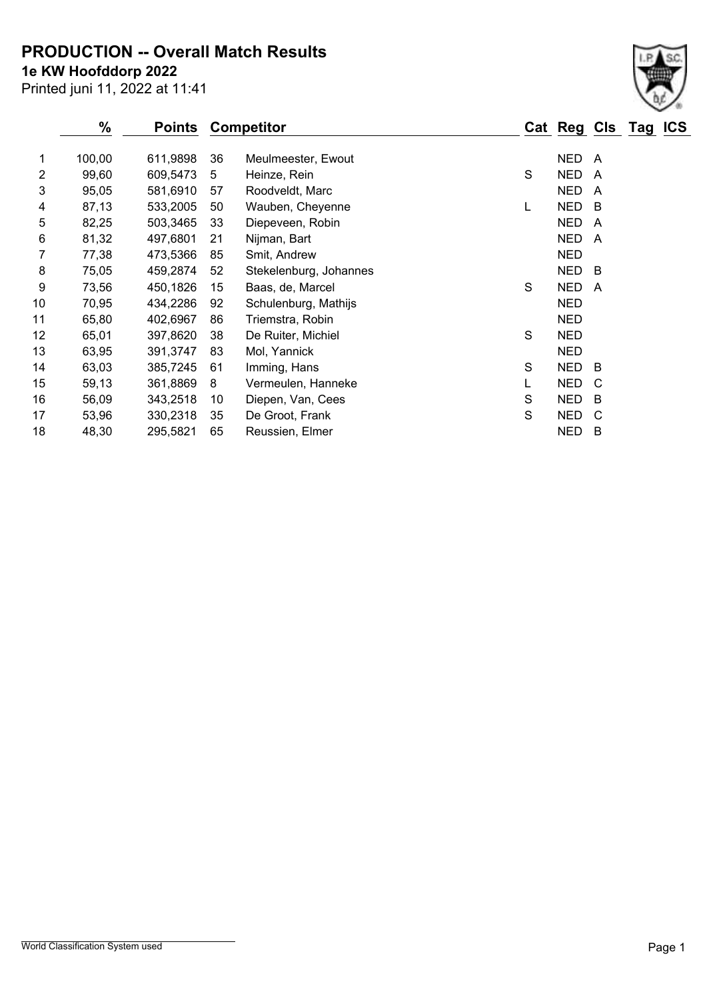**PRODUCTION -- Overall Match Results**

**1e KW Hoofddorp 2022**

Printed juni 11, 2022 at 11:41

|                | $\%$   | <b>Points</b> |    | <b>Competitor</b>      |   | Cat Reg Cls |   |
|----------------|--------|---------------|----|------------------------|---|-------------|---|
|                |        |               |    |                        |   |             |   |
| 1              | 100,00 | 611,9898      | 36 | Meulmeester, Ewout     |   | <b>NED</b>  | A |
| $\overline{2}$ | 99,60  | 609,5473      | 5  | Heinze, Rein           | S | <b>NED</b>  | A |
| 3              | 95,05  | 581,6910      | 57 | Roodveldt, Marc        |   | <b>NED</b>  | A |
| 4              | 87,13  | 533,2005      | 50 | Wauben, Cheyenne       | L | <b>NED</b>  | B |
| 5              | 82,25  | 503,3465      | 33 | Diepeveen, Robin       |   | <b>NED</b>  | A |
| 6              | 81,32  | 497,6801      | 21 | Nijman, Bart           |   | <b>NED</b>  | A |
| 7              | 77,38  | 473,5366      | 85 | Smit, Andrew           |   | <b>NED</b>  |   |
| 8              | 75,05  | 459,2874      | 52 | Stekelenburg, Johannes |   | <b>NED</b>  | B |
| 9              | 73,56  | 450,1826      | 15 | Baas, de, Marcel       | S | <b>NED</b>  | A |
| 10             | 70,95  | 434,2286      | 92 | Schulenburg, Mathijs   |   | <b>NED</b>  |   |
| 11             | 65,80  | 402,6967      | 86 | Triemstra, Robin       |   | <b>NED</b>  |   |
| 12             | 65,01  | 397,8620      | 38 | De Ruiter, Michiel     | S | <b>NED</b>  |   |
| 13             | 63,95  | 391,3747      | 83 | Mol, Yannick           |   | <b>NED</b>  |   |
| 14             | 63,03  | 385,7245      | 61 | Imming, Hans           | S | <b>NED</b>  | B |
| 15             | 59,13  | 361,8869      | 8  | Vermeulen, Hanneke     | L | <b>NED</b>  | C |
| 16             | 56,09  | 343,2518      | 10 | Diepen, Van, Cees      | S | <b>NED</b>  | B |
| 17             | 53,96  | 330,2318      | 35 | De Groot, Frank        | S | <b>NED</b>  | C |
| 18             | 48,30  | 295,5821      | 65 | Reussien, Elmer        |   | <b>NED</b>  | B |

 $Tag$  **ICS**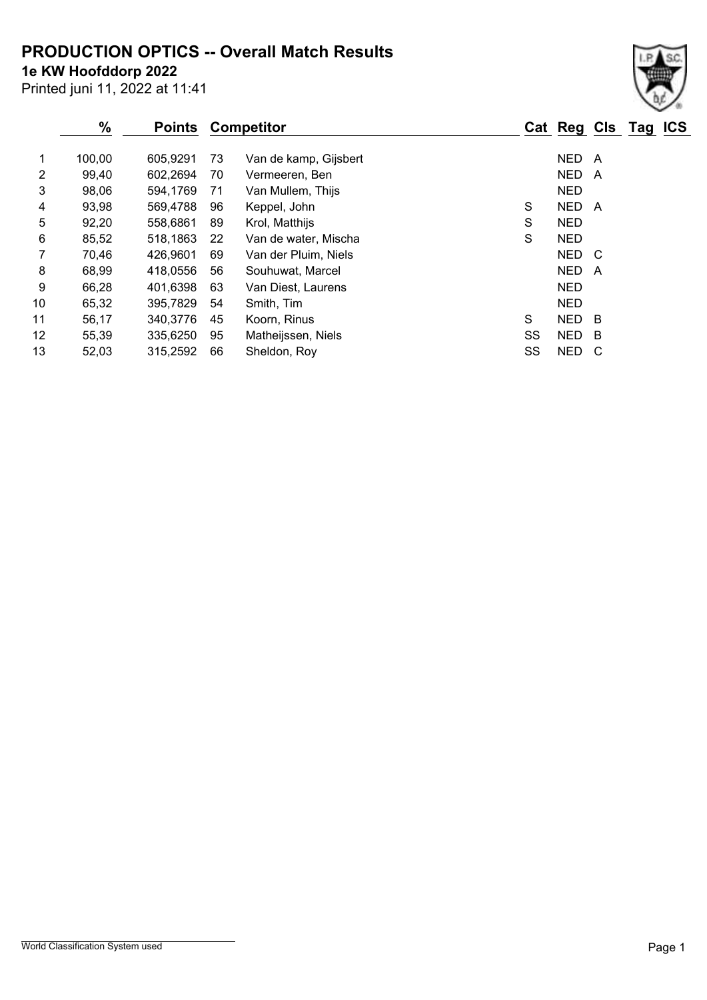### **PRODUCTION OPTICS -- Overall Match Results**

**1e KW Hoofddorp 2022**

Printed juni 11, 2022 at 11:41

#### **% Points Competitor Cat Reg Cls Tag ICS** 1 100,00 605,9291 73 Van de kamp, Gijsbert 1 100,00 NED A 2 99,40 602,2694 70 Vermeeren, Ben 1986 1999 199,40 NED A 3 98,06 594,1769 71 Van Mullem, Thijs NED 4 93,98 569,4788 96 Keppel, John S NED A 5 92,20 558,6861 89 Krol, Matthijs S S NED 6 85,52 518,1863 22 Van de water, Mischa S NED 7 70,46 426,9601 69 Van der Pluim, Niels New York NED C 8 68,99 418,0556 56 Souhuwat, Marcel 1988 1991 10:00 A 9 66,28 401,6398 63 Van Diest, Laurens NED

10 65,32 395,7829 54 Smith, Tim NED 11 56,17 340,3776 45 Koorn, Rinus S NED B 12 55,39 335,6250 95 Matheijssen, Niels SS NED B 13 52,03 315,2592 66 Sheldon, Roy SS NED C

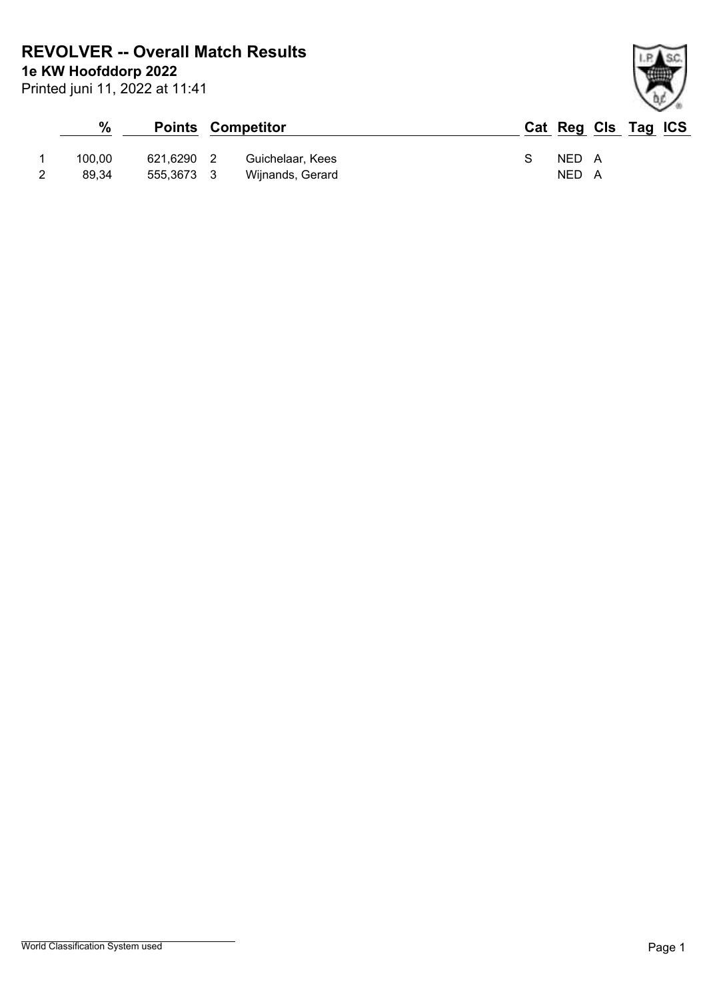**1e KW Hoofddorp 2022 REVOLVER -- Overall Match Results**

Printed juni 11, 2022 at 11:41

# **% Points Competitor Cat Reg Cls Tag ICS** 1 100,00 621,6290 2 Guichelaar, Kees S NED A 2 89,34 555,3673 3 Wijnands, Gerard NED A

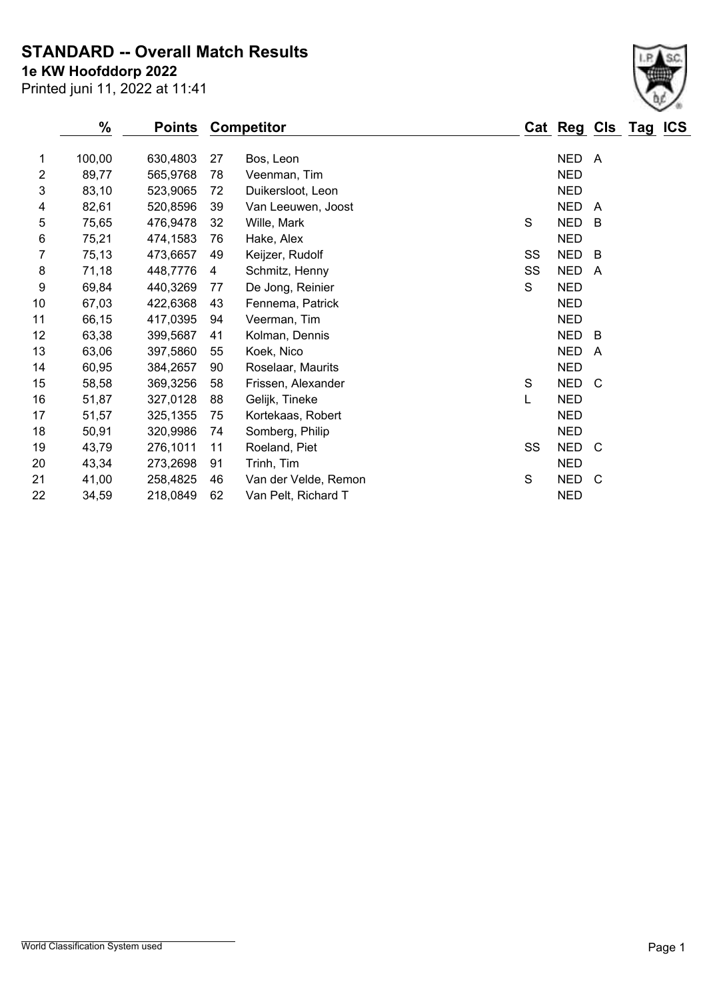**STANDARD -- Overall Match Results**

Printed juni 11, 2022 at 11:41 **1e KW Hoofddorp 2022**

|                | $\%$   | <b>Points</b> |    | <b>Competitor</b>    |             |    | Cat Reg Cls Tag ICS |     |  |
|----------------|--------|---------------|----|----------------------|-------------|----|---------------------|-----|--|
| 1              | 100,00 | 630,4803      | 27 | Bos, Leon            |             |    | NED A               |     |  |
| $\overline{2}$ | 89,77  | 565,9768      | 78 | Veenman, Tim         |             |    | <b>NED</b>          |     |  |
| 3              | 83,10  | 523,9065      | 72 | Duikersloot, Leon    |             |    | <b>NED</b>          |     |  |
| 4              | 82,61  | 520,8596      | 39 | Van Leeuwen, Joost   |             |    | <b>NED</b>          | A   |  |
| 5              | 75,65  | 476,9478      | 32 | Wille, Mark          | $\mathbf S$ |    | <b>NED</b>          | B   |  |
| 6              | 75,21  | 474,1583      | 76 | Hake, Alex           |             |    | <b>NED</b>          |     |  |
| 7              | 75,13  | 473,6657      | 49 | Keijzer, Rudolf      |             | SS | <b>NED</b>          | B   |  |
| 8              | 71,18  | 448,7776      | 4  | Schmitz, Henny       |             | SS | <b>NED</b>          | A   |  |
| 9              | 69,84  | 440,3269      | 77 | De Jong, Reinier     | S           |    | <b>NED</b>          |     |  |
| 10             | 67,03  | 422,6368      | 43 | Fennema, Patrick     |             |    | <b>NED</b>          |     |  |
| 11             | 66,15  | 417,0395      | 94 | Veerman, Tim         |             |    | <b>NED</b>          |     |  |
| 12             | 63,38  | 399,5687      | 41 | Kolman, Dennis       |             |    | <b>NED</b>          | B   |  |
| 13             | 63,06  | 397,5860      | 55 | Koek, Nico           |             |    | <b>NED</b>          | A   |  |
| 14             | 60,95  | 384,2657      | 90 | Roselaar, Maurits    |             |    | <b>NED</b>          |     |  |
| 15             | 58,58  | 369,3256      | 58 | Frissen, Alexander   | S           |    | NED C               |     |  |
| 16             | 51,87  | 327,0128      | 88 | Gelijk, Tineke       | L           |    | <b>NED</b>          |     |  |
| 17             | 51,57  | 325,1355      | 75 | Kortekaas, Robert    |             |    | <b>NED</b>          |     |  |
| 18             | 50,91  | 320,9986      | 74 | Somberg, Philip      |             |    | <b>NED</b>          |     |  |
| 19             | 43,79  | 276,1011      | 11 | Roeland, Piet        |             | SS | <b>NED</b>          | - C |  |
| 20             | 43,34  | 273,2698      | 91 | Trinh, Tim           |             |    | <b>NED</b>          |     |  |
| 21             | 41,00  | 258,4825      | 46 | Van der Velde, Remon | $\mathsf S$ |    | <b>NED</b>          | C   |  |
| 22             | 34,59  | 218,0849      | 62 | Van Pelt, Richard T  |             |    | <b>NED</b>          |     |  |
|                |        |               |    |                      |             |    |                     |     |  |